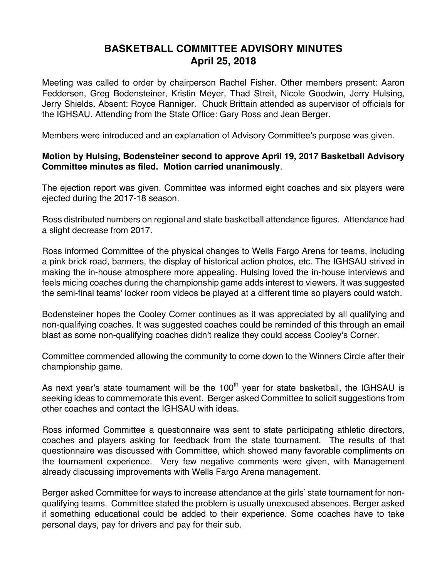## **BASKETBALL COMMITTEE ADVISORY MINUTES April 25, 2018**

Meeting was called to order by chairperson Rachel Fisher. Other members present: Aaron Feddersen, Greg Bodensteiner, Kristin Meyer, Thad Streit, Nicole Goodwin, Jerry Hulsing, Jerry Shields. Absent: Royce Ranniger. Chuck Brittain attended as supervisor of officials for the IGHSAU. Attending from the State Office: Gary Ross and Jean Berger.

Members were introduced and an explanation of Advisory Committee's purpose was given.

## **Motion by Hulsing, Bodensteiner second to approve April 19, 2017 Basketball Advisory Committee minutes as filed. Motion carried unanimously**.

The ejection report was given. Committee was informed eight coaches and six players were ejected during the 2017-18 season.

Ross distributed numbers on regional and state basketball attendance figures. Attendance had a slight decrease from 2017.

Ross informed Committee of the physical changes to Wells Fargo Arena for teams, including a pink brick road, banners, the display of historical action photos, etc. The IGHSAU strived in making the in-house atmosphere more appealing. Hulsing loved the in-house interviews and feels micing coaches during the championship game adds interest to viewers. It was suggested the semi-final teams' locker room videos be played at a different time so players could watch.

Bodensteiner hopes the Cooley Corner continues as it was appreciated by all qualifying and non-qualifying coaches. It was suggested coaches could be reminded of this through an email blast as some non-qualifying coaches didn't realize they could access Cooley's Corner.

Committee commended allowing the community to come down to the Winners Circle after their championship game.

As next year's state tournament will be the  $100<sup>th</sup>$  year for state basketball, the IGHSAU is seeking ideas to commemorate this event. Berger asked Committee to solicit suggestions from other coaches and contact the IGHSAU with ideas.

Ross informed Committee a questionnaire was sent to state participating athletic directors, coaches and players asking for feedback from the state tournament. The results of that questionnaire was discussed with Committee, which showed many favorable compliments on the tournament experience. Very few negative comments were given, with Management already discussing improvements with Wells Fargo Arena management.

Berger asked Committee for ways to increase attendance at the girls' state tournament for nonqualifying teams. Committee stated the problem is usually unexcused absences. Berger asked if something educational could be added to their experience. Some coaches have to take personal days, pay for drivers and pay for their sub.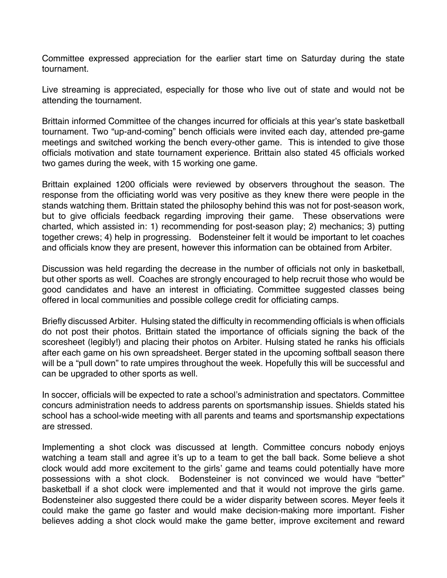Committee expressed appreciation for the earlier start time on Saturday during the state tournament.

Live streaming is appreciated, especially for those who live out of state and would not be attending the tournament.

Brittain informed Committee of the changes incurred for officials at this year's state basketball tournament. Two "up-and-coming" bench officials were invited each day, attended pre-game meetings and switched working the bench every-other game. This is intended to give those officials motivation and state tournament experience. Brittain also stated 45 officials worked two games during the week, with 15 working one game.

Brittain explained 1200 officials were reviewed by observers throughout the season. The response from the officiating world was very positive as they knew there were people in the stands watching them. Brittain stated the philosophy behind this was not for post-season work, but to give officials feedback regarding improving their game. These observations were charted, which assisted in: 1) recommending for post-season play; 2) mechanics; 3) putting together crews; 4) help in progressing. Bodensteiner felt it would be important to let coaches and officials know they are present, however this information can be obtained from Arbiter.

Discussion was held regarding the decrease in the number of officials not only in basketball, but other sports as well. Coaches are strongly encouraged to help recruit those who would be good candidates and have an interest in officiating. Committee suggested classes being offered in local communities and possible college credit for officiating camps.

Briefly discussed Arbiter. Hulsing stated the difficulty in recommending officials is when officials do not post their photos. Brittain stated the importance of officials signing the back of the scoresheet (legibly!) and placing their photos on Arbiter. Hulsing stated he ranks his officials after each game on his own spreadsheet. Berger stated in the upcoming softball season there will be a "pull down" to rate umpires throughout the week. Hopefully this will be successful and can be upgraded to other sports as well.

In soccer, officials will be expected to rate a school's administration and spectators. Committee concurs administration needs to address parents on sportsmanship issues. Shields stated his school has a school-wide meeting with all parents and teams and sportsmanship expectations are stressed.

Implementing a shot clock was discussed at length. Committee concurs nobody enjoys watching a team stall and agree it's up to a team to get the ball back. Some believe a shot clock would add more excitement to the girls' game and teams could potentially have more possessions with a shot clock. Bodensteiner is not convinced we would have "better" basketball if a shot clock were implemented and that it would not improve the girls game. Bodensteiner also suggested there could be a wider disparity between scores. Meyer feels it could make the game go faster and would make decision-making more important. Fisher believes adding a shot clock would make the game better, improve excitement and reward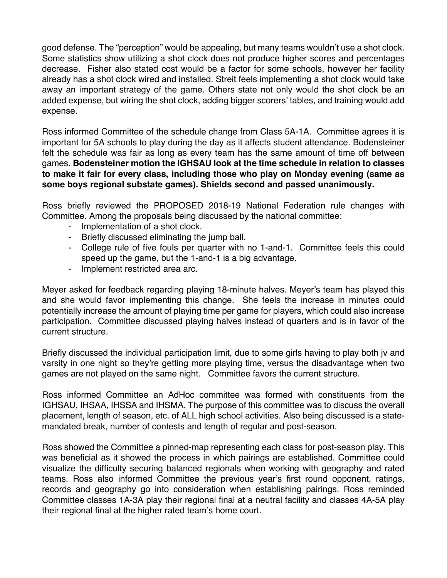good defense. The "perception" would be appealing, but many teams wouldn't use a shot clock. Some statistics show utilizing a shot clock does not produce higher scores and percentages decrease. Fisher also stated cost would be a factor for some schools, however her facility already has a shot clock wired and installed. Streit feels implementing a shot clock would take away an important strategy of the game. Others state not only would the shot clock be an added expense, but wiring the shot clock, adding bigger scorers' tables, and training would add expense.

Ross informed Committee of the schedule change from Class 5A-1A. Committee agrees it is important for 5A schools to play during the day as it affects student attendance. Bodensteiner felt the schedule was fair as long as every team has the same amount of time off between games. **Bodensteiner motion the IGHSAU look at the time schedule in relation to classes to make it fair for every class, including those who play on Monday evening (same as some boys regional substate games). Shields second and passed unanimously.**

Ross briefly reviewed the PROPOSED 2018-19 National Federation rule changes with Committee. Among the proposals being discussed by the national committee:

- Implementation of a shot clock.
- Briefly discussed eliminating the jump ball.
- College rule of five fouls per quarter with no 1-and-1. Committee feels this could speed up the game, but the 1-and-1 is a big advantage.
- Implement restricted area arc.

Meyer asked for feedback regarding playing 18-minute halves. Meyer's team has played this and she would favor implementing this change. She feels the increase in minutes could potentially increase the amount of playing time per game for players, which could also increase participation. Committee discussed playing halves instead of quarters and is in favor of the current structure.

Briefly discussed the individual participation limit, due to some girls having to play both jv and varsity in one night so they're getting more playing time, versus the disadvantage when two games are not played on the same night. Committee favors the current structure.

Ross informed Committee an AdHoc committee was formed with constituents from the IGHSAU, IHSAA, IHSSA and IHSMA. The purpose of this committee was to discuss the overall placement, length of season, etc. of ALL high school activities. Also being discussed is a statemandated break, number of contests and length of regular and post-season.

Ross showed the Committee a pinned-map representing each class for post-season play. This was beneficial as it showed the process in which pairings are established. Committee could visualize the difficulty securing balanced regionals when working with geography and rated teams. Ross also informed Committee the previous year's first round opponent, ratings, records and geography go into consideration when establishing pairings. Ross reminded Committee classes 1A-3A play their regional final at a neutral facility and classes 4A-5A play their regional final at the higher rated team's home court.